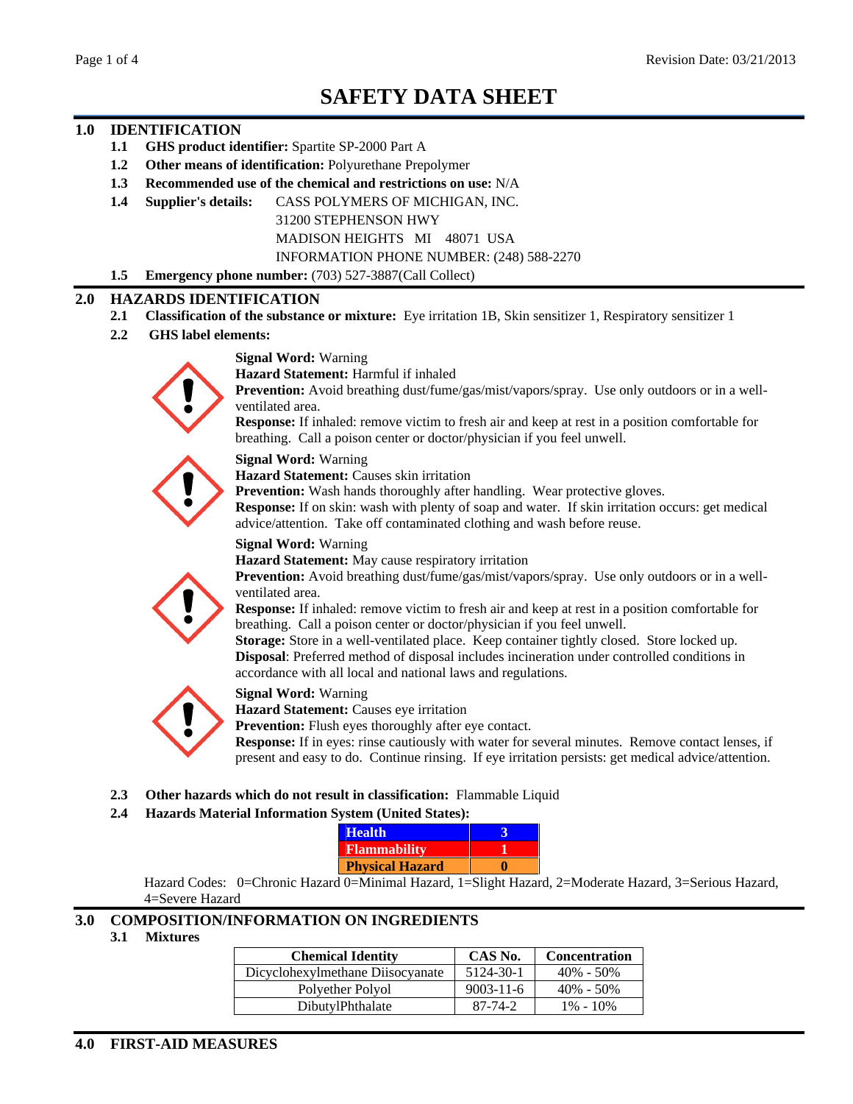# **SAFETY DATA SHEET**

# **1.0 IDENTIFICATION**

- **1.1 GHS product identifier:** Spartite SP-2000 Part A
- **1.2 Other means of identification:** Polyurethane Prepolymer
- **1.3 Recommended use of the chemical and restrictions on use:** N/A
- **1.4 Supplier's details:** CASS POLYMERS OF MICHIGAN, INC.

31200 STEPHENSON HWY

MADISON HEIGHTS MI 48071 USA

INFORMATION PHONE NUMBER: (248) 588-2270

**1.5 Emergency phone number:** (703) 527-3887(Call Collect)

#### **2.0 HAZARDS IDENTIFICATION**

- **2.1 Classification of the substance or mixture:** Eye irritation 1B, Skin sensitizer 1, Respiratory sensitizer 1
- **2.2 GHS label elements:**

#### **Signal Word:** Warning

**Hazard Statement:** Harmful if inhaled **Prevention:** Avoid breathing dust/fume/gas/mist/vapors/spray. Use only outdoors or in a well ventilated area.

**Response:** If inhaled: remove victim to fresh air and keep at rest in a position comfortable for breathing. Call a poison center or doctor/physician if you feel unwell.

**Signal Word:** Warning

**Hazard Statement:** Causes skin irritation

**Prevention:** Wash hands thoroughly after handling. Wear protective gloves.

**Response:** If on skin: wash with plenty of soap and water. If skin irritation occurs: get medical advice/attention. Take off contaminated clothing and wash before reuse.

#### **Signal Word:** Warning

**Hazard Statement:** May cause respiratory irritation



**Response:** If inhaled: remove victim to fresh air and keep at rest in a position comfortable for breathing. Call a poison center or doctor/physician if you feel unwell.

**Storage:** Store in a well-ventilated place. Keep container tightly closed. Store locked up. **Disposal**: Preferred method of disposal includes incineration under controlled conditions in accordance with all local and national laws and regulations.



**Signal Word:** Warning

**Hazard Statement:** Causes eye irritation

**Prevention:** Flush eyes thoroughly after eye contact.

**Response:** If in eyes: rinse cautiously with water for several minutes. Remove contact lenses, if present and easy to do. Continue rinsing. If eye irritation persists: get medical advice/attention.

**2.3 Other hazards which do not result in classification:** Flammable Liquid

#### **2.4 Hazards Material Information System (United States):**

Hazard Codes: 0=Chronic Hazard 0=Minimal Hazard, 1=Slight Hazard, 2=Moderate Hazard, 3=Serious Hazard, 4=Severe Hazard

## **3.0 COMPOSITION/INFORMATION ON INGREDIENTS**

**3.1 Mixtures**

| Chemical Identity CAS No. Concentration<br>Dicyclohexylmethane Diisocyanate 5124-30-1 40% - 50% |               |                       |
|-------------------------------------------------------------------------------------------------|---------------|-----------------------|
|                                                                                                 |               |                       |
| Polyether Polyol                                                                                |               | $9003-11-6$ 40% - 50% |
| DibutylPhthalate                                                                                | $87 - 74 - 2$ | $1\% - 10\%$          |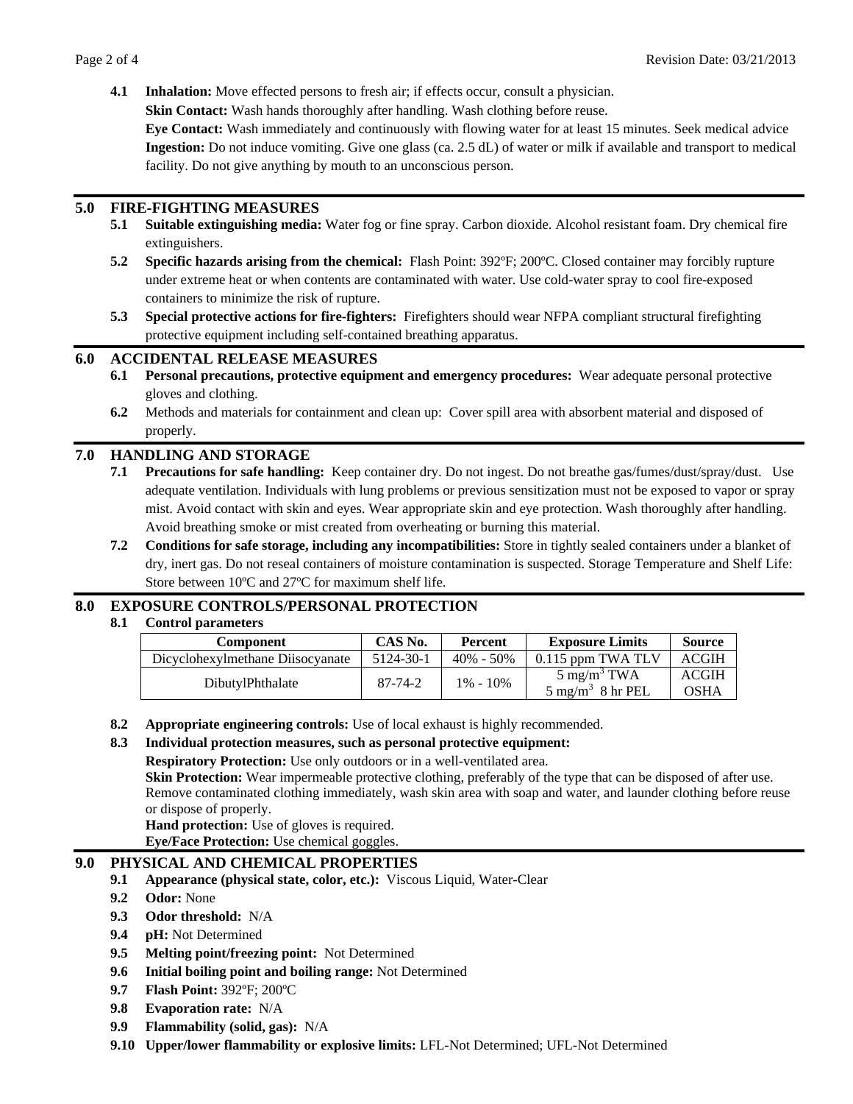**4.1 Inhalation:** Move effected persons to fresh air; if effects occur, consult a physician.

**Skin Contact:** Wash hands thoroughly after handling. Wash clothing before reuse.

**Eye Contact:** Wash immediately and continuously with flowing water for at least 15 minutes. Seek medical advice **Ingestion:** Do not induce vomiting. Give one glass (ca. 2.5 dL) of water or milk if available and transport to medical facility. Do not give anything by mouth to an unconscious person.

# **5.0 FIRE-FIGHTING MEASURES**

- **5.1 Suitable extinguishing media:** Water fog or fine spray. Carbon dioxide. Alcohol resistant foam. Dry chemical fire extinguishers.
- **5.2 Specific hazards arising from the chemical:** Flash Point: 392ºF; 200ºC. Closed container may forcibly rupture under extreme heat or when contents are contaminated with water. Use cold-water spray to cool fire-exposed containers to minimize the risk of rupture.
- **5.3 Special protective actions for fire-fighters:** Firefighters should wear NFPA compliant structural firefighting protective equipment including self-contained breathing apparatus.

## **6.0 ACCIDENTAL RELEASE MEASURES**

- **6.1 Personal precautions, protective equipment and emergency procedures:** Wear adequate personal protective gloves and clothing.
- **6.2** Methods and materials for containment and clean up: Cover spill area with absorbent material and disposed of properly. The contract of the contract of the contract of the contract of the contract of the contract of the contract of the contract of the contract of the contract of the contract of the contract of the contract of the

# **7.0 HANDLING AND STORAGE**

- **7.1 Precautions for safe handling:** Keep container dry. Do not ingest. Do not breathe gas/fumes/dust/spray/dust. Use adequate ventilation. Individuals with lung problems or previous sensitization must not be exposed to vapor or spray mist. Avoid contact with skin and eyes. Wear appropriate skin and eye protection. Wash thoroughly after handling. Avoid breathing smoke or mist created from overheating or burning this material.
- **7.2 Conditions for safe storage, including any incompatibilities:** Store in tightly sealed containers under a blanket of dry, inert gas. Do not reseal containers of moisture contamination is suspected. Storage Temperature and Shelf Life: Store between 10ºC and 27ºC for maximum shelf life.

# **8.0 EXPOSURE CONTROLS/PERSONAL PROTECTION**

#### **8.1 Control parameters**

| <b>Compone</b>                             | CAS No.                  | Percent      | <b>Exposure Limits</b>                                | Source                      |
|--------------------------------------------|--------------------------|--------------|-------------------------------------------------------|-----------------------------|
| Dicyclohexylmethane Diisocyanate 5124-30-1 |                          |              | 40% - 50%   0.115 ppm TWA TLV   ACGIH                 |                             |
| DibutylPhthalate                           | 07.74.2<br>$01 - 14 - 2$ | $1\% - 10\%$ | $\sim$ mg/m $\sim$ TWA<br>$/m3$ 8 hr PEL<br>־mo /m ר" | <b>ACGIH</b><br><b>OSHA</b> |

**8.2 Appropriate engineering controls:** Use of local exhaust is highly recommended.

#### **8.3 Individual protection measures, such as personal protective equipment:**

**Respiratory Protection:** Use only outdoors or in a well-ventilated area.

**Skin Protection:** Wear impermeable protective clothing, preferably of the type that can be disposed of after use.<br>Remove contaminated clothing immediately, wash skin area with soap and water, and launder clothing before r or dispose of properly.

**Hand protection:** Use of gloves is required. **Eye/Face Protection:** Use chemical goggles.

#### **9.0 PHYSICAL AND CHEMICAL PROPERTIES**

- **9.1 Appearance (physical state, color, etc.):** Viscous Liquid, Water-Clear
- **9.2 Odor:** None
- **9.3 Odor threshold:** N/A
- **9.4 pH:** Not Determined
- **9.5 Melting point/freezing point:** Not Determined
- **9.6 Initial boiling point and boiling range:** Not Determined
- **9.7 Flash Point:** 392ºF; 200ºC
- **9.8 Evaporation rate:** N/A
- **9.9 Flammability (solid, gas):** N/A
- **9.10 Upper/lower flammability or explosive limits:** LFL-Not Determined; UFL-Not Determined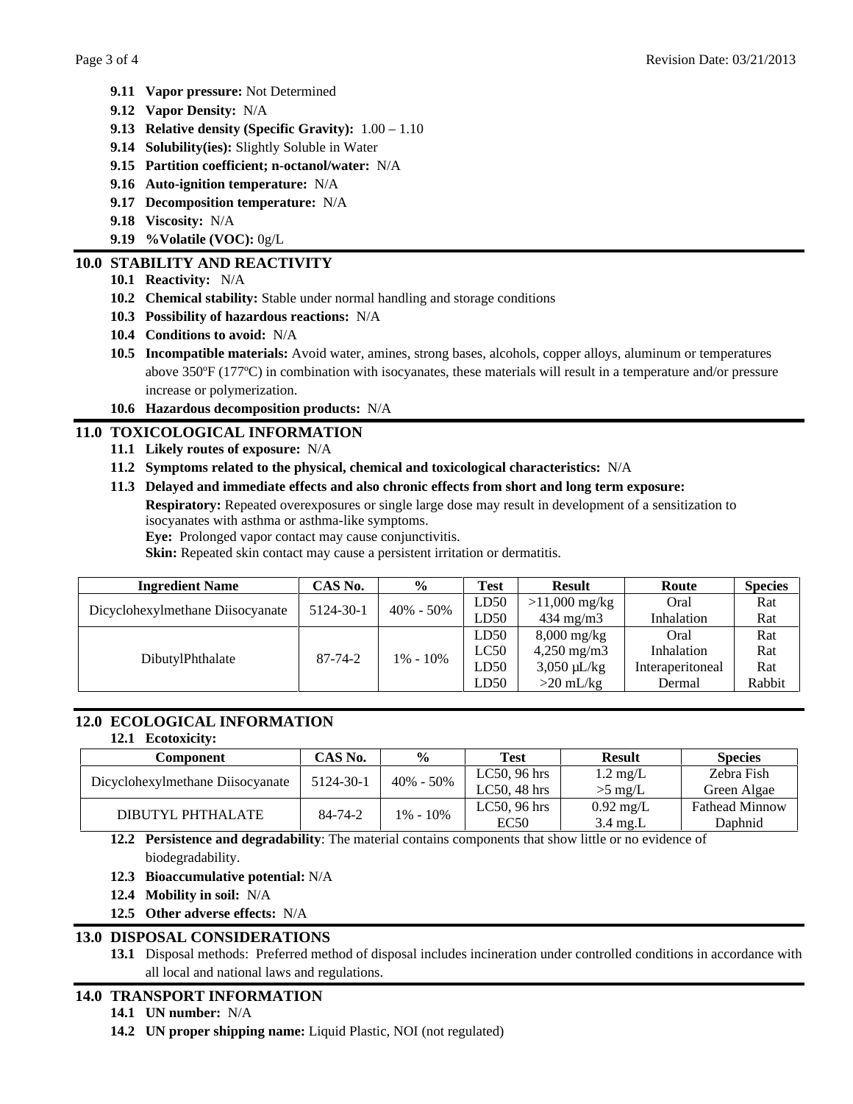- **9.11 Vapor pressure:** Not Determined
- **9.12 Vapor Density:** N/A
- **9.13 Relative density (Specific Gravity):** 1.00 1.10
- **9.14 Solubility(ies):** Slightly Soluble in Water
- **9.15 Partition coefficient; n-octanol/water:** N/A
- **9.16 Auto-ignition temperature:** N/A
- **9.17 Decomposition temperature:** N/A
- **9.18 Viscosity:** N/A
- **9.19 %Volatile (VOC):** 0g/L

# **10.0 STABILITY AND REACTIVITY**

- **10.1 Reactivity:** N/A
- **10.2 Chemical stability:** Stable under normal handling and storage conditions
- **10.3 Possibility of hazardous reactions:** N/A
- **10.4 Conditions to avoid:** N/A
- **10.5 Incompatible materials:** Avoid water, amines, strong bases, alcohols, copper alloys, aluminum or temperatures above 350ºF (177ºC) in combination with isocyanates, these materials will result in a temperature and/or pressure increase or polymerization.
- **10.6 Hazardous decomposition products:** N/A

# **11.0 TOXICOLOGICAL INFORMATION**

- **11.1 Likely routes of exposure:** N/A
- **11.2 Symptoms related to the physical, chemical and toxicological characteristics:** N/A
- **11.3 Delayed and immediate effects and also chronic effects from short and long term exposure:**

**Respiratory:** Repeated overexposures or single large dose may result in development of a sensitization to isocyanates with asthma or asthma-like symptoms.

**Eye:** Prolonged vapor contact may cause conjunctivitis.

**Skin:** Repeated skin contact may cause a persistent irritation or dermatitis.

| <b>Ingredient Name</b>                                                   | CAS No.       |              |              |                        |                  | <b>Species</b> |  |
|--------------------------------------------------------------------------|---------------|--------------|--------------|------------------------|------------------|----------------|--|
| Dicyclohexylmethane Diisocyanate   5124-30-1   40% - 50%   $\frac{1}{1}$ |               |              | LD50 $\vert$ | $>11,000$ mg/kg        | Oral             | Rat            |  |
|                                                                          |               |              | LD50         | $434 \text{ mg/m}$     | Inhalation       | Rat            |  |
|                                                                          |               |              | LD50         | 8,000 mg/kg            | Oral             | <b>Rat</b>     |  |
|                                                                          | $87 - 74 - 2$ |              | LC50         | $4,250 \text{ mg/m}$ 3 | Inholation       | Rat            |  |
| DibutylPhthalate                                                         |               | $1\% - 10\%$ | LD50         | 3,050 µL/kg            | interaperitoneal | Kat            |  |
|                                                                          |               |              | LD50         | $20 \text{ mL/kg}$     | Dermal           | Rabbit         |  |

# **12.0 ECOLOGICAL INFORMATION**

#### **12.1 Ecotoxicity:**

| Component CAS No.                                                                                                                                |  | Test 1 | Result | <b>Species</b> |
|--------------------------------------------------------------------------------------------------------------------------------------------------|--|--------|--------|----------------|
|                                                                                                                                                  |  |        |        |                |
| Dicyclohexylmethane Diisocyanate 5124-30-1 40% - 50% LC50, 96 hrs 1.2 mg/L Zebra Fish<br>LC50, 48 hrs >5 mg/L Zebra Algae                        |  |        |        |                |
| DIBUTYL PHTHALATE 84-74-2 1% - 10% LC50, 48 hrs > 5 mg/L Green Algae<br>DIBUTYL PHTHALATE 84-74-2 1% - 10% LC50, 96 hrs 0.92 mg/L Fathead Minnow |  |        |        |                |
|                                                                                                                                                  |  |        |        |                |

**12.2 Persistence and degradability**: The material contains components that show little or no evidence of biodegradability.

- **12.3 Bioaccumulative potential:** N/A
- **12.4 Mobility in soil:** N/A
- **12.5 Other adverse effects:** N/A

# **13.0 DISPOSAL CONSIDERATIONS**

**13.1** Disposal methods: Preferred method of disposal includes incineration under controlled conditions in accordance with all local and national laws and regulations.

# **14.0 TRANSPORT INFORMATION**

- **14.1 UN number:** N/A
- **14.2 UN proper shipping name:** Liquid Plastic, NOI (not regulated)